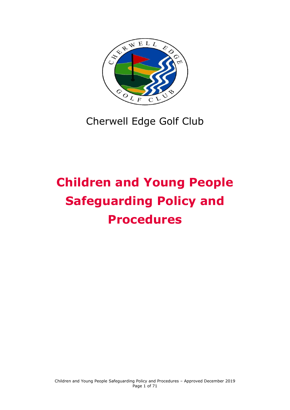

# Cherwell Edge Golf Club

# **Children and Young People Safeguarding Policy and Procedures**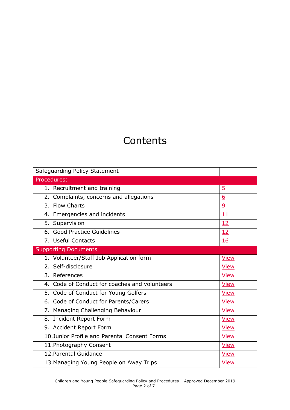## **Contents**

| Safeguarding Policy Statement                 |                |
|-----------------------------------------------|----------------|
| Procedures:                                   |                |
| 1. Recruitment and training                   | $\overline{5}$ |
| 2. Complaints, concerns and allegations       | <u>6</u>       |
| 3. Flow Charts                                | $\overline{9}$ |
| 4. Emergencies and incidents                  | 11             |
| 5. Supervision                                | 12             |
| 6. Good Practice Guidelines                   | 12             |
| 7. Useful Contacts                            | 16             |
| <b>Supporting Documents</b>                   |                |
| 1. Volunteer/Staff Job Application form       | <b>View</b>    |
| 2. Self-disclosure                            | <b>View</b>    |
| 3. References                                 | <b>View</b>    |
| 4. Code of Conduct for coaches and volunteers | <b>View</b>    |
| 5. Code of Conduct for Young Golfers          | <b>View</b>    |
| 6. Code of Conduct for Parents/Carers         | <b>View</b>    |
| 7. Managing Challenging Behaviour             | <b>View</b>    |
| 8. Incident Report Form                       | <b>View</b>    |
| 9. Accident Report Form                       | <b>View</b>    |
| 10. Junior Profile and Parental Consent Forms | <b>View</b>    |
| 11. Photography Consent                       | <b>View</b>    |
| 12. Parental Guidance                         | <b>View</b>    |
| 13. Managing Young People on Away Trips       | <b>View</b>    |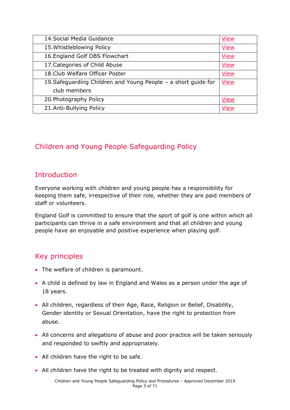| 14. Social Media Guidance                                      | <b>View</b> |
|----------------------------------------------------------------|-------------|
| 15. Whistleblowing Policy                                      | <b>View</b> |
| 16. England Golf DBS Flowchart                                 | <b>View</b> |
| 17. Categories of Child Abuse                                  | <b>View</b> |
| 18. Club Welfare Officer Poster                                | <b>View</b> |
| 19. Safeguarding Children and Young People - a short guide for | <b>View</b> |
| club members                                                   |             |
| 20. Photography Policy                                         | <b>View</b> |
| 21.Anti-Bullying Policy                                        | <b>View</b> |

### Children and Young People Safeguarding Policy

### **Introduction**

Everyone working with children and young people has a responsibility for keeping them safe, irrespective of their role, whether they are paid members of staff or volunteers.

England Golf is committed to ensure that the sport of golf is one within which all participants can thrive in a safe environment and that all children and young people have an enjoyable and positive experience when playing golf.

### Key principles

- The welfare of children is paramount.
- A child is defined by law in England and Wales as a person under the age of 18 years.
- All children, regardless of their Age, Race, Religion or Belief, Disability, Gender identity or Sexual Orientation, have the right to protection from abuse.
- All concerns and allegations of abuse and poor practice will be taken seriously and responded to swiftly and appropriately.
- All children have the right to be safe.
- All children have the right to be treated with dignity and respect.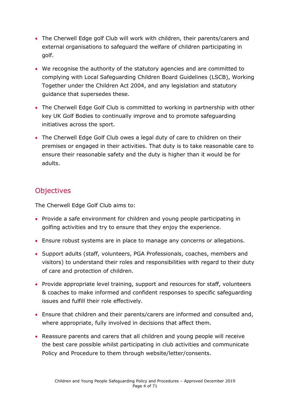- The Cherwell Edge golf Club will work with children, their parents/carers and external organisations to safeguard the welfare of children participating in golf.
- We recognise the authority of the statutory agencies and are committed to complying with Local Safeguarding Children Board Guidelines (LSCB), Working Together under the Children Act 2004, and any legislation and statutory guidance that supersedes these.
- The Cherwell Edge Golf Club is committed to working in partnership with other key UK Golf Bodies to continually improve and to promote safeguarding initiatives across the sport.
- The Cherwell Edge Golf Club owes a legal duty of care to children on their premises or engaged in their activities. That duty is to take reasonable care to ensure their reasonable safety and the duty is higher than it would be for adults.

### **Objectives**

The Cherwell Edge Golf Club aims to:

- Provide a safe environment for children and young people participating in golfing activities and try to ensure that they enjoy the experience.
- Ensure robust systems are in place to manage any concerns or allegations.
- Support adults (staff, volunteers, PGA Professionals, coaches, members and visitors) to understand their roles and responsibilities with regard to their duty of care and protection of children.
- Provide appropriate level training, support and resources for staff, volunteers & coaches to make informed and confident responses to specific safeguarding issues and fulfill their role effectively.
- Ensure that children and their parents/carers are informed and consulted and, where appropriate, fully involved in decisions that affect them.
- Reassure parents and carers that all children and young people will receive the best care possible whilst participating in club activities and communicate Policy and Procedure to them through website/letter/consents.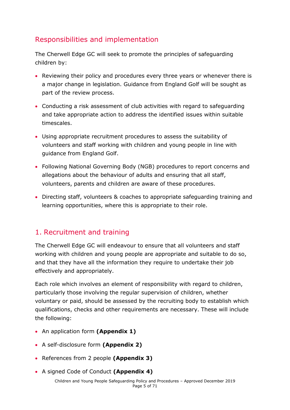### Responsibilities and implementation

The Cherwell Edge GC will seek to promote the principles of safeguarding children by:

- Reviewing their policy and procedures every three years or whenever there is a major change in legislation. Guidance from England Golf will be sought as part of the review process.
- Conducting a risk assessment of club activities with regard to safeguarding and take appropriate action to address the identified issues within suitable timescales.
- Using appropriate recruitment procedures to assess the suitability of volunteers and staff working with children and young people in line with guidance from England Golf.
- Following National Governing Body (NGB) procedures to report concerns and allegations about the behaviour of adults and ensuring that all staff, volunteers, parents and children are aware of these procedures.
- Directing staff, volunteers & coaches to appropriate safeguarding training and learning opportunities, where this is appropriate to their role.

### <span id="page-4-0"></span>1. Recruitment and training

The Cherwell Edge GC will endeavour to ensure that all volunteers and staff working with children and young people are appropriate and suitable to do so, and that they have all the information they require to undertake their job effectively and appropriately.

Each role which involves an element of responsibility with regard to children, particularly those involving the regular supervision of children, whether voluntary or paid, should be assessed by the recruiting body to establish which qualifications, checks and other requirements are necessary. These will include the following:

- An application form **(Appendix 1)**
- A self-disclosure form **(Appendix 2)**
- References from 2 people **(Appendix 3)**
- A signed Code of Conduct **(Appendix 4)**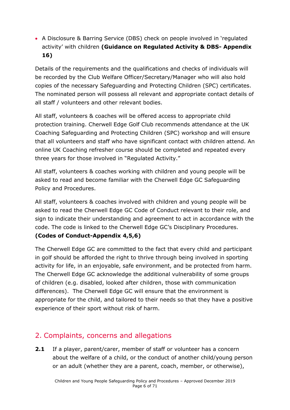A Disclosure & Barring Service (DBS) check on people involved in 'regulated activity' with children **(Guidance on Regulated Activity & DBS- Appendix 16)**

Details of the requirements and the qualifications and checks of individuals will be recorded by the Club Welfare Officer/Secretary/Manager who will also hold copies of the necessary Safeguarding and Protecting Children (SPC) certificates. The nominated person will possess all relevant and appropriate contact details of all staff / volunteers and other relevant bodies.

All staff, volunteers & coaches will be offered access to appropriate child protection training. Cherwell Edge Golf Club recommends attendance at the UK Coaching Safeguarding and Protecting Children (SPC) workshop and will ensure that all volunteers and staff who have significant contact with children attend. An online UK Coaching refresher course should be completed and repeated every three years for those involved in "Regulated Activity."

All staff, volunteers & coaches working with children and young people will be asked to read and become familiar with the Cherwell Edge GC Safeguarding Policy and Procedures.

All staff, volunteers & coaches involved with children and young people will be asked to read the Cherwell Edge GC Code of Conduct relevant to their role, and sign to indicate their understanding and agreement to act in accordance with the code. The code is linked to the Cherwell Edge GC's Disciplinary Procedures.

### **(Codes of Conduct-Appendix 4,5,6)**

The Cherwell Edge GC are committed to the fact that every child and participant in golf should be afforded the right to thrive through being involved in sporting activity for life, in an enjoyable, safe environment, and be protected from harm. The Cherwell Edge GC acknowledge the additional vulnerability of some groups of children (e.g. disabled, looked after children, those with communication differences). The Cherwell Edge GC will ensure that the environment is appropriate for the child, and tailored to their needs so that they have a positive experience of their sport without risk of harm.

### <span id="page-5-0"></span>2. Complaints, concerns and allegations

**2.1** If a player, parent/carer, member of staff or volunteer has a concern about the welfare of a child, or the conduct of another child/young person or an adult (whether they are a parent, coach, member, or otherwise),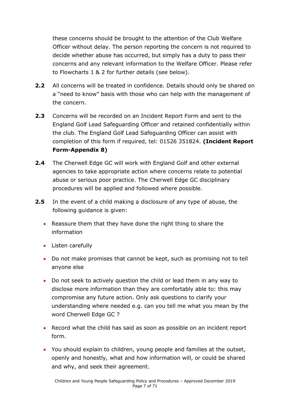these concerns should be brought to the attention of the Club Welfare Officer without delay. The person reporting the concern is not required to decide whether abuse has occurred, but simply has a duty to pass their concerns and any relevant information to the Welfare Officer. Please refer to Flowcharts 1 & 2 for further details (see below).

- **2.2** All concerns will be treated in confidence. Details should only be shared on a "need to know" basis with those who can help with the management of the concern.
- **2.3** Concerns will be recorded on an Incident Report Form and sent to the England Golf Lead Safeguarding Officer and retained confidentially within the club. The England Golf Lead Safeguarding Officer can assist with completion of this form if required, tel: 01526 351824. **(Incident Report Form-Appendix 8)**
- **2.4** The Cherwell Edge GC will work with England Golf and other external agencies to take appropriate action where concerns relate to potential abuse or serious poor practice. The Cherwell Edge GC disciplinary procedures will be applied and followed where possible.
- **2.5** In the event of a child making a disclosure of any type of abuse, the following guidance is given:
	- Reassure them that they have done the right thing to share the information
	- Listen carefully
	- Do not make promises that cannot be kept, such as promising not to tell anyone else
	- Do not seek to actively question the child or lead them in any way to disclose more information than they are comfortably able to: this may compromise any future action. Only ask questions to clarify your understanding where needed e.g. can you tell me what you mean by the word Cherwell Edge GC ?
	- Record what the child has said as soon as possible on an incident report form.
	- You should explain to children, young people and families at the outset, openly and honestly, what and how information will, or could be shared and why, and seek their agreement.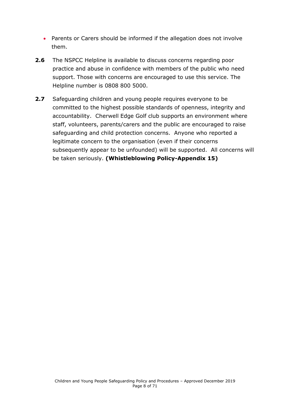- Parents or Carers should be informed if the allegation does not involve them.
- **2.6** The NSPCC Helpline is available to discuss concerns regarding poor practice and abuse in confidence with members of the public who need support. Those with concerns are encouraged to use this service. The Helpline number is 0808 800 5000.
- <span id="page-7-0"></span>**2.7** Safeguarding children and young people requires everyone to be committed to the highest possible standards of openness, integrity and accountability. Cherwell Edge Golf club supports an environment where staff, volunteers, parents/carers and the public are encouraged to raise safeguarding and child protection concerns. Anyone who reported a legitimate concern to the organisation (even if their concerns subsequently appear to be unfounded) will be supported. All concerns will be taken seriously. **(Whistleblowing Policy-Appendix 15)**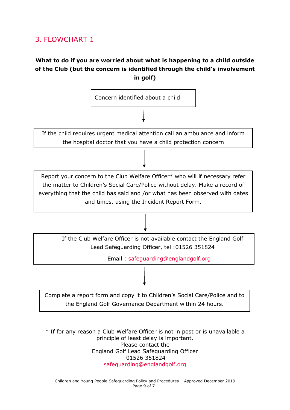### 3. FLOWCHART 1

### **What to do if you are worried about what is happening to a child outside of the Club (but the concern is identified through the child's involvement in golf)**



\* If for any reason a Club Welfare Officer is not in post or is unavailable a principle of least delay is important. Please contact the England Golf Lead Safeguarding Officer 01526 351824 [safeguarding@englandgolf.org](mailto:safeguarding@englandgolf.org)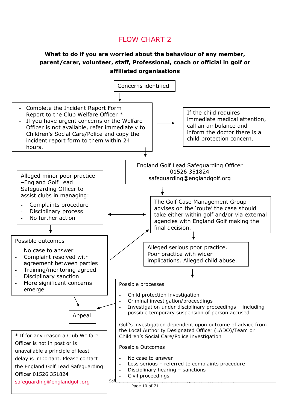### FLOW CHART 2

### **What to do if you are worried about the behaviour of any member, parent/carer, volunteer, staff, Professional, coach or official in golf or affiliated organisations**

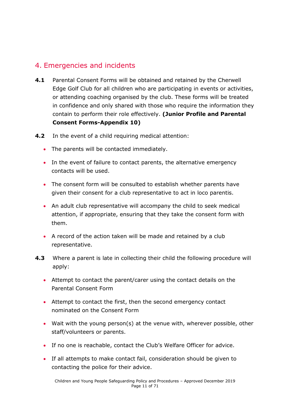### <span id="page-10-0"></span>4. Emergencies and incidents

- **4.1** Parental Consent Forms will be obtained and retained by the Cherwell Edge Golf Club for all children who are participating in events or activities, or attending coaching organised by the club. These forms will be treated in confidence and only shared with those who require the information they contain to perform their role effectively. **(Junior Profile and Parental Consent Forms-Appendix 10)**
- **4.2** In the event of a child requiring medical attention:
	- The parents will be contacted immediately.
	- In the event of failure to contact parents, the alternative emergency contacts will be used.
	- The consent form will be consulted to establish whether parents have given their consent for a club representative to act in loco parentis.
	- An adult club representative will accompany the child to seek medical attention, if appropriate, ensuring that they take the consent form with them.
	- A record of the action taken will be made and retained by a club representative.
- **4.3** Where a parent is late in collecting their child the following procedure will apply:
	- Attempt to contact the parent/carer using the contact details on the Parental Consent Form
	- Attempt to contact the first, then the second emergency contact nominated on the Consent Form
	- Wait with the young person(s) at the venue with, wherever possible, other staff/volunteers or parents.
	- If no one is reachable, contact the Club's Welfare Officer for advice.
	- If all attempts to make contact fail, consideration should be given to contacting the police for their advice.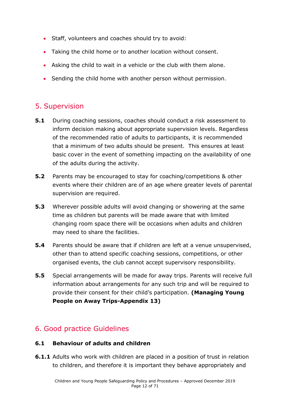- Staff, volunteers and coaches should try to avoid:
- Taking the child home or to another location without consent.
- Asking the child to wait in a vehicle or the club with them alone.
- Sending the child home with another person without permission.

### <span id="page-11-0"></span>5. Supervision

- **5.1** During coaching sessions, coaches should conduct a risk assessment to inform decision making about appropriate supervision levels. Regardless of the recommended ratio of adults to participants, it is recommended that a minimum of two adults should be present. This ensures at least basic cover in the event of something impacting on the availability of one of the adults during the activity.
- **5.2** Parents may be encouraged to stay for coaching/competitions & other events where their children are of an age where greater levels of parental supervision are required.
- **5.3** Wherever possible adults will avoid changing or showering at the same time as children but parents will be made aware that with limited changing room space there will be occasions when adults and children may need to share the facilities.
- **5.4** Parents should be aware that if children are left at a venue unsupervised, other than to attend specific coaching sessions, competitions, or other organised events, the club cannot accept supervisory responsibility.
- **5.5** Special arrangements will be made for away trips. Parents will receive full information about arrangements for any such trip and will be required to provide their consent for their child's participation. **(Managing Young People on Away Trips-Appendix 13)**

### <span id="page-11-1"></span>6. Good practice Guidelines

### **6.1 Behaviour of adults and children**

**6.1.1** Adults who work with children are placed in a position of trust in relation to children, and therefore it is important they behave appropriately and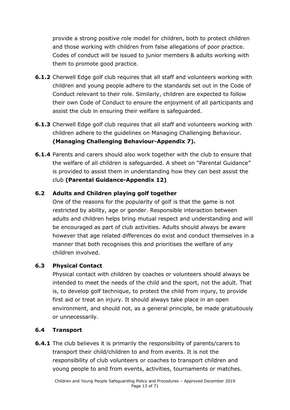provide a strong positive role model for children, both to protect children and those working with children from false allegations of poor practice. Codes of conduct will be issued to junior members & adults working with them to promote good practice.

- **6.1.2** Cherwell Edge golf club requires that all staff and volunteers working with children and young people adhere to the standards set out in the Code of Conduct relevant to their role. Similarly, children are expected to follow their own Code of Conduct to ensure the enjoyment of all participants and assist the club in ensuring their welfare is safeguarded.
- **6.1.3** Cherwell Edge golf club requires that all staff and volunteers working with children adhere to the guidelines on Managing Challenging Behaviour. **(Managing Challenging Behaviour-Appendix 7).**
- **6.1.4** Parents and carers should also work together with the club to ensure that the welfare of all children is safeguarded. A sheet on "Parental Guidance" is provided to assist them in understanding how they can best assist the club **(Parental Guidance-Appendix 12)**

### **6.2 Adults and Children playing golf together**

One of the reasons for the popularity of golf is that the game is not restricted by ability, age or gender. Responsible interaction between adults and children helps bring mutual respect and understanding and will be encouraged as part of club activities. Adults should always be aware however that age related differences do exist and conduct themselves in a manner that both recognises this and prioritises the welfare of any children involved.

### **6.3 Physical Contact**

Physical contact with children by coaches or volunteers should always be intended to meet the needs of the child and the sport, not the adult. That is, to develop golf technique, to protect the child from injury, to provide first aid or treat an injury. It should always take place in an open environment, and should not, as a general principle, be made gratuitously or unnecessarily.

### **6.4 Transport**

**6.4.1** The club believes it is primarily the responsibility of parents/carers to transport their child/children to and from events. It is not the responsibility of club volunteers or coaches to transport children and young people to and from events, activities, tournaments or matches.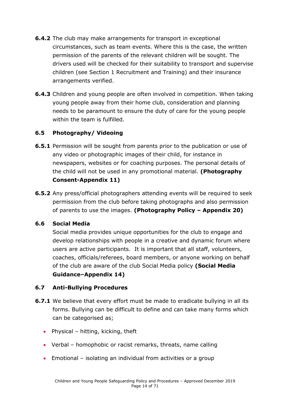- **6.4.2** The club may make arrangements for transport in exceptional circumstances, such as team events. Where this is the case, the written permission of the parents of the relevant children will be sought. The drivers used will be checked for their suitability to transport and supervise children (see Section 1 Recruitment and Training) and their insurance arrangements verified.
- **6.4.3** Children and young people are often involved in competition. When taking young people away from their home club, consideration and planning needs to be paramount to ensure the duty of care for the young people within the team is fulfilled.

### **6.5 Photography/ Videoing**

- **6.5.1** Permission will be sought from parents prior to the publication or use of any video or photographic images of their child, for instance in newspapers, websites or for coaching purposes. The personal details of the child will not be used in any promotional material. **(Photography Consent-Appendix 11)**
- **6.5.2** Any press/official photographers attending events will be required to seek permission from the club before taking photographs and also permission of parents to use the images. **(Photography Policy – Appendix 20)**

### **6.6 Social Media**

Social media provides unique opportunities for the club to engage and develop relationships with people in a creative and dynamic forum where users are active participants. It is important that all staff, volunteers, coaches, officials/referees, board members, or anyone working on behalf of the club are aware of the club Social Media policy **(Social Media Guidance–Appendix 14)**

### **6.7 Anti-Bullying Procedures**

- **6.7.1** We believe that every effort must be made to eradicate bullying in all its forms. Bullying can be difficult to define and can take many forms which can be categorised as;
	- Physical hitting, kicking, theft
	- Verbal homophobic or racist remarks, threats, name calling
	- Emotional isolating an individual from activities or a group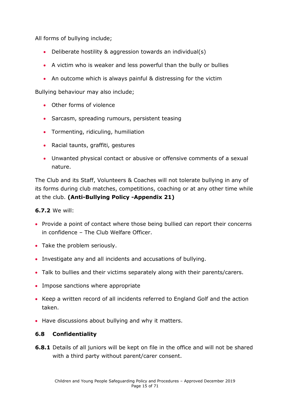All forms of bullying include;

- Deliberate hostility & aggression towards an individual(s)
- A victim who is weaker and less powerful than the bully or bullies
- An outcome which is always painful & distressing for the victim

Bullying behaviour may also include;

- Other forms of violence
- Sarcasm, spreading rumours, persistent teasing
- Tormenting, ridiculing, humiliation
- Racial taunts, graffiti, gestures
- Unwanted physical contact or abusive or offensive comments of a sexual nature.

The Club and its Staff, Volunteers & Coaches will not tolerate bullying in any of its forms during club matches, competitions, coaching or at any other time while at the club. **(Anti-Bullying Policy -Appendix 21)**

### **6.7.2** We will:

- Provide a point of contact where those being bullied can report their concerns in confidence – The Club Welfare Officer.
- Take the problem seriously.
- Investigate any and all incidents and accusations of bullying.
- Talk to bullies and their victims separately along with their parents/carers.
- Impose sanctions where appropriate
- Keep a written record of all incidents referred to England Golf and the action taken.
- Have discussions about bullying and why it matters.

### **6.8 Confidentiality**

**6.8.1** Details of all juniors will be kept on file in the office and will not be shared with a third party without parent/carer consent.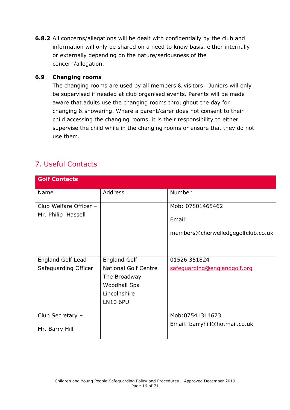**6.8.2** All concerns/allegations will be dealt with confidentially by the club and information will only be shared on a need to know basis, either internally or externally depending on the nature/seriousness of the concern/allegation.

#### **6.9 Changing rooms**

The changing rooms are used by all members & visitors. Juniors will only be supervised if needed at club organised events. Parents will be made aware that adults use the changing rooms throughout the day for changing & showering. Where a parent/carer does not consent to their child accessing the changing rooms, it is their responsibility to either supervise the child while in the changing rooms or ensure that they do not use them.

### <span id="page-15-0"></span>7. Useful Contacts

| <b>Golf Contacts</b>     |                             |                                    |
|--------------------------|-----------------------------|------------------------------------|
| Name                     | <b>Address</b>              | <b>Number</b>                      |
| Club Welfare Officer -   |                             | Mob: 07801465462                   |
| Mr. Philip Hassell       |                             | Email:                             |
|                          |                             | members@cherwelledgegolfclub.co.uk |
|                          |                             |                                    |
| <b>England Golf Lead</b> | <b>England Golf</b>         | 01526 351824                       |
| Safeguarding Officer     | <b>National Golf Centre</b> | safeguarding@englandgolf.org       |
|                          | The Broadway                |                                    |
|                          | Woodhall Spa                |                                    |
|                          | Lincolnshire                |                                    |
|                          | <b>LN10 6PU</b>             |                                    |
| Club Secretary -         |                             | Mob:07541314673                    |
| Mr. Barry Hill           |                             | Email: barryhill@hotmail.co.uk     |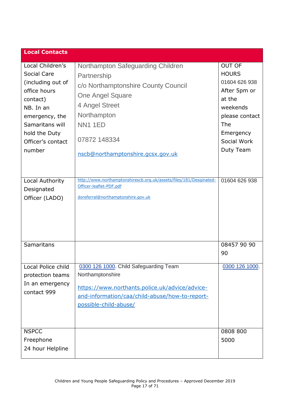| <b>Local Contacts</b>                                                                |                                                                                                                                                                                         |                                                                          |
|--------------------------------------------------------------------------------------|-----------------------------------------------------------------------------------------------------------------------------------------------------------------------------------------|--------------------------------------------------------------------------|
| Local Children's<br>Social Care<br>(including out of<br>office hours<br>contact)     | Northampton Safeguarding Children<br>Partnership<br>c/o Northamptonshire County Council<br><b>One Angel Square</b>                                                                      | <b>OUT OF</b><br><b>HOURS</b><br>01604 626 938<br>After 5pm or<br>at the |
| NB. In an<br>emergency, the<br>Samaritans will<br>hold the Duty<br>Officer's contact | 4 Angel Street<br>Northampton<br><b>NN1 1ED</b><br>07872 148334                                                                                                                         | weekends<br>please contact<br>The<br>Emergency<br>Social Work            |
| number<br>Local Authority                                                            | nscb@northamptonshire.gcsx.gov.uk<br>http://www.northamptonshirescb.org.uk/assets/files/181/Desginated-                                                                                 | Duty Team<br>01604 626 938                                               |
| Designated<br>Officer (LADO)                                                         | Officer-leaflet-PDF.pdf<br>doreferral@northamptonshire.gov.uk                                                                                                                           |                                                                          |
| <b>Samaritans</b>                                                                    |                                                                                                                                                                                         | 08457 90 90<br>90                                                        |
| Local Police child<br>protection teams<br>In an emergency<br>contact 999             | 0300 126 1000. Child Safeguarding Team<br>Northamptonshire<br>https://www.northants.police.uk/advice/advice-<br>and-information/caa/child-abuse/how-to-report-<br>possible-child-abuse/ | 0300 126 1000.                                                           |
| <b>NSPCC</b><br>Freephone<br>24 hour Helpline                                        |                                                                                                                                                                                         | 0808 800<br>5000                                                         |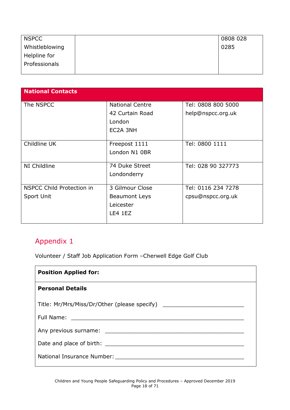| <b>NSPCC</b>   | 0808 028 |
|----------------|----------|
| Whistleblowing | 0285     |
| Helpline for   |          |
| Professionals  |          |
|                |          |

| <b>National Contacts</b>         |                        |                    |
|----------------------------------|------------------------|--------------------|
| The NSPCC                        | <b>National Centre</b> | Tel: 0808 800 5000 |
|                                  | 42 Curtain Road        | help@nspcc.org.uk  |
|                                  | London                 |                    |
|                                  | EC2A 3NH               |                    |
|                                  |                        |                    |
| Childline UK                     | Freepost 1111          | Tel: 0800 1111     |
|                                  | London N1 0BR          |                    |
| NI Childline                     | 74 Duke Street         | Tel: 028 90 327773 |
|                                  | Londonderry            |                    |
|                                  |                        |                    |
| <b>NSPCC Child Protection in</b> | 3 Gilmour Close        | Tel: 0116 234 7278 |
| Sport Unit                       | Beaumont Leys          | cpsu@nspcc.org.uk  |
|                                  | Leicester              |                    |
|                                  | LE4 1EZ                |                    |
|                                  |                        |                    |

<span id="page-17-0"></span>Volunteer / Staff Job Application Form –Cherwell Edge Golf Club

| <b>Position Applied for:</b>                 |
|----------------------------------------------|
| <b>Personal Details</b>                      |
| Title: Mr/Mrs/Miss/Dr/Other (please specify) |
|                                              |
|                                              |
|                                              |
|                                              |
|                                              |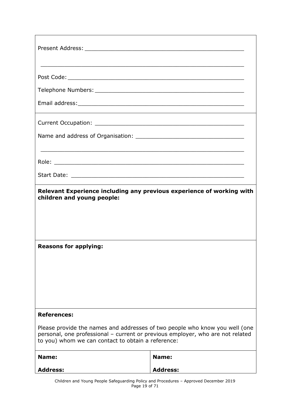|                                                                                                                                                                                                                     | <u> 1990 - Johann Stoff, amerikansk politiker (d. 1990)</u> |  |
|---------------------------------------------------------------------------------------------------------------------------------------------------------------------------------------------------------------------|-------------------------------------------------------------|--|
|                                                                                                                                                                                                                     |                                                             |  |
|                                                                                                                                                                                                                     |                                                             |  |
|                                                                                                                                                                                                                     |                                                             |  |
|                                                                                                                                                                                                                     |                                                             |  |
|                                                                                                                                                                                                                     |                                                             |  |
|                                                                                                                                                                                                                     |                                                             |  |
| children and young people:                                                                                                                                                                                          |                                                             |  |
| <b>Reasons for applying:</b>                                                                                                                                                                                        |                                                             |  |
| <b>References:</b>                                                                                                                                                                                                  |                                                             |  |
| Please provide the names and addresses of two people who know you well (one<br>personal, one professional - current or previous employer, who are not related<br>to you) whom we can contact to obtain a reference: |                                                             |  |
| Name:                                                                                                                                                                                                               | Name:                                                       |  |
| <b>Address:</b>                                                                                                                                                                                                     | <b>Address:</b>                                             |  |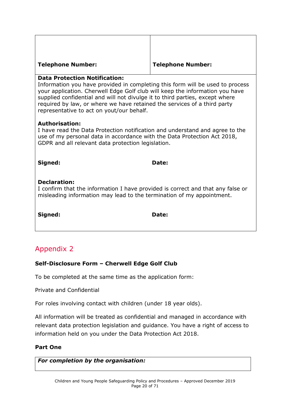#### **Telephone Number: Telephone Number:**

### **Data Protection Notification:**

Information you have provided in completing this form will be used to process your application. Cherwell Edge Golf club will keep the information you have supplied confidential and will not divulge it to third parties, except where required by law, or where we have retained the services of a third party representative to act on yout/our behalf.

#### **Authorisation:**

I have read the Data Protection notification and understand and agree to the use of my personal data in accordance with the Data Protection Act 2018, GDPR and all relevant data protection legislation.

**Signed: Date:** 

### **Declaration:**

I confirm that the information I have provided is correct and that any false or misleading information may lead to the termination of my appointment.

**Signed: Date:**

### <span id="page-19-0"></span>Appendix 2

### **Self-Disclosure Form – Cherwell Edge Golf Club**

To be completed at the same time as the application form:

Private and Confidential

For roles involving contact with children (under 18 year olds).

All information will be treated as confidential and managed in accordance with relevant data protection legislation and guidance. You have a right of access to information held on you under the Data Protection Act 2018.

### **Part One**

*For completion by the organisation:*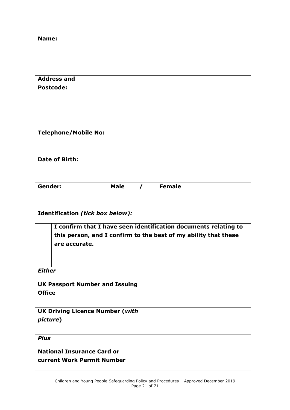| Name:                                  |             |                             |                                                                 |
|----------------------------------------|-------------|-----------------------------|-----------------------------------------------------------------|
|                                        |             |                             |                                                                 |
|                                        |             |                             |                                                                 |
| <b>Address and</b>                     |             |                             |                                                                 |
| <b>Postcode:</b>                       |             |                             |                                                                 |
|                                        |             |                             |                                                                 |
|                                        |             |                             |                                                                 |
|                                        |             |                             |                                                                 |
|                                        |             |                             |                                                                 |
| <b>Telephone/Mobile No:</b>            |             |                             |                                                                 |
|                                        |             |                             |                                                                 |
| <b>Date of Birth:</b>                  |             |                             |                                                                 |
|                                        |             |                             |                                                                 |
|                                        |             |                             |                                                                 |
| Gender:                                | <b>Male</b> | <b>Female</b><br>$\sqrt{ }$ |                                                                 |
|                                        |             |                             |                                                                 |
| Identification (tick box below):       |             |                             |                                                                 |
|                                        |             |                             | I confirm that I have seen identification documents relating to |
|                                        |             |                             | this person, and I confirm to the best of my ability that these |
| are accurate.                          |             |                             |                                                                 |
|                                        |             |                             |                                                                 |
|                                        |             |                             |                                                                 |
| <b>Either</b>                          |             |                             |                                                                 |
| <b>UK Passport Number and Issuing</b>  |             |                             |                                                                 |
| <b>Office</b>                          |             |                             |                                                                 |
| <b>UK Driving Licence Number (with</b> |             |                             |                                                                 |
| picture)                               |             |                             |                                                                 |
|                                        |             |                             |                                                                 |
| <b>Plus</b>                            |             |                             |                                                                 |
| <b>National Insurance Card or</b>      |             |                             |                                                                 |
| current Work Permit Number             |             |                             |                                                                 |
|                                        |             |                             |                                                                 |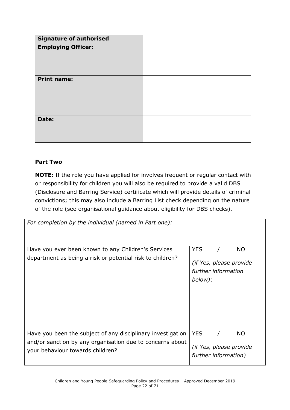| Signature of authorised<br><b>Employing Officer:</b> |  |
|------------------------------------------------------|--|
| <b>Print name:</b>                                   |  |
| Date:                                                |  |

### **Part Two**

**NOTE:** If the role you have applied for involves frequent or regular contact with or responsibility for children you will also be required to provide a valid DBS (Disclosure and Barring Service) certificate which will provide details of criminal convictions; this may also include a Barring List check depending on the nature of the role (see organisational guidance about eligibility for DBS checks).

| For completion by the individual (named in Part one):       |                         |
|-------------------------------------------------------------|-------------------------|
|                                                             |                         |
|                                                             |                         |
| Have you ever been known to any Children's Services         | <b>YES</b><br><b>NO</b> |
| department as being a risk or potential risk to children?   | (if Yes, please provide |
|                                                             | further information     |
|                                                             | below):                 |
|                                                             |                         |
|                                                             |                         |
|                                                             |                         |
|                                                             |                         |
|                                                             |                         |
|                                                             |                         |
| Have you been the subject of any disciplinary investigation | <b>YES</b><br><b>NO</b> |
| and/or sanction by any organisation due to concerns about   | (if Yes, please provide |
| your behaviour towards children?                            | further information)    |
|                                                             |                         |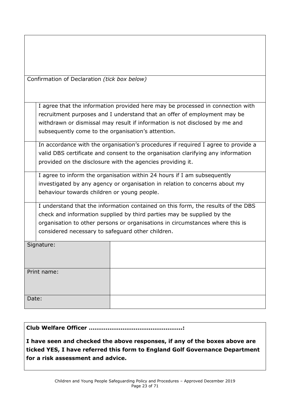| Confirmation of Declaration (tick box below)                                                                                                                                                                                                                                                     |                                                                                                                                                                                                                                           |  |  |
|--------------------------------------------------------------------------------------------------------------------------------------------------------------------------------------------------------------------------------------------------------------------------------------------------|-------------------------------------------------------------------------------------------------------------------------------------------------------------------------------------------------------------------------------------------|--|--|
| subsequently come to the organisation's attention.                                                                                                                                                                                                                                               | I agree that the information provided here may be processed in connection with<br>recruitment purposes and I understand that an offer of employment may be<br>withdrawn or dismissal may result if information is not disclosed by me and |  |  |
| In accordance with the organisation's procedures if required I agree to provide a<br>valid DBS certificate and consent to the organisation clarifying any information<br>provided on the disclosure with the agencies providing it.                                                              |                                                                                                                                                                                                                                           |  |  |
| I agree to inform the organisation within 24 hours if I am subsequently<br>investigated by any agency or organisation in relation to concerns about my<br>behaviour towards children or young people.                                                                                            |                                                                                                                                                                                                                                           |  |  |
| I understand that the information contained on this form, the results of the DBS<br>check and information supplied by third parties may be supplied by the<br>organisation to other persons or organisations in circumstances where this is<br>considered necessary to safeguard other children. |                                                                                                                                                                                                                                           |  |  |
| Signature:                                                                                                                                                                                                                                                                                       |                                                                                                                                                                                                                                           |  |  |
| Print name:                                                                                                                                                                                                                                                                                      |                                                                                                                                                                                                                                           |  |  |

**Club Welfare Officer …………………………………………..:**

Date:

**I have seen and checked the above responses, if any of the boxes above are ticked YES, I have referred this form to England Golf Governance Department for a risk assessment and advice.**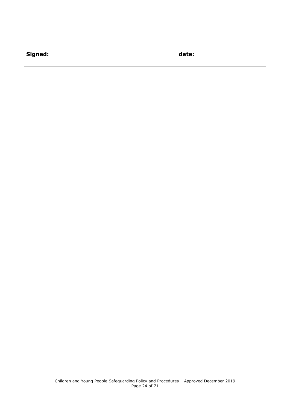**Signed: date:**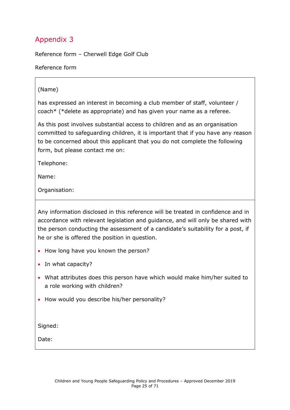<span id="page-24-0"></span>Reference form – Cherwell Edge Golf Club

Reference form

### (Name)

has expressed an interest in becoming a club member of staff, volunteer / coach\* (\*delete as appropriate) and has given your name as a referee.

As this post involves substantial access to children and as an organisation committed to safeguarding children, it is important that if you have any reason to be concerned about this applicant that you do not complete the following form, but please contact me on:

Telephone:

Name:

Organisation:

Any information disclosed in this reference will be treated in confidence and in accordance with relevant legislation and guidance, and will only be shared with the person conducting the assessment of a candidate's suitability for a post, if he or she is offered the position in question.

- How long have you known the person?
- In what capacity?
- What attributes does this person have which would make him/her suited to a role working with children?
- How would you describe his/her personality?

Signed:

Date: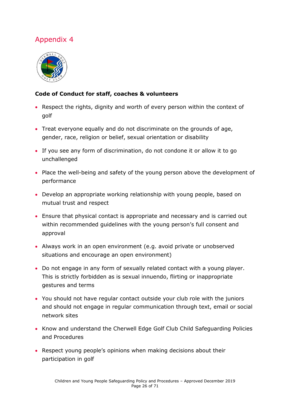<span id="page-25-0"></span>

### **Code of Conduct for staff, coaches & volunteers**

- Respect the rights, dignity and worth of every person within the context of golf
- Treat everyone equally and do not discriminate on the grounds of age, gender, race, religion or belief, sexual orientation or disability
- If you see any form of discrimination, do not condone it or allow it to go unchallenged
- Place the well-being and safety of the young person above the development of performance
- Develop an appropriate working relationship with young people, based on mutual trust and respect
- Ensure that physical contact is appropriate and necessary and is carried out within recommended guidelines with the young person's full consent and approval
- Always work in an open environment (e.g. avoid private or unobserved situations and encourage an open environment)
- Do not engage in any form of sexually related contact with a young player. This is strictly forbidden as is sexual innuendo, flirting or inappropriate gestures and terms
- You should not have regular contact outside your club role with the juniors and should not engage in regular communication through text, email or social network sites
- Know and understand the Cherwell Edge Golf Club Child Safeguarding Policies and Procedures
- Respect young people's opinions when making decisions about their participation in golf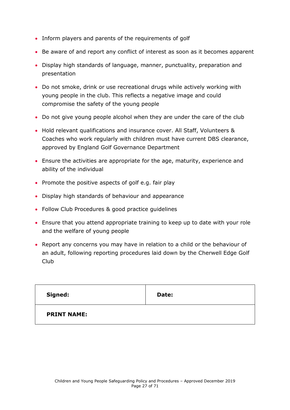- Inform players and parents of the requirements of golf
- Be aware of and report any conflict of interest as soon as it becomes apparent
- Display high standards of language, manner, punctuality, preparation and presentation
- Do not smoke, drink or use recreational drugs while actively working with young people in the club. This reflects a negative image and could compromise the safety of the young people
- Do not give young people alcohol when they are under the care of the club
- Hold relevant qualifications and insurance cover. All Staff, Volunteers & Coaches who work regularly with children must have current DBS clearance, approved by England Golf Governance Department
- Ensure the activities are appropriate for the age, maturity, experience and ability of the individual
- Promote the positive aspects of golf e.g. fair play
- Display high standards of behaviour and appearance
- Follow Club Procedures & good practice guidelines
- Ensure that you attend appropriate training to keep up to date with your role and the welfare of young people
- Report any concerns you may have in relation to a child or the behaviour of an adult, following reporting procedures laid down by the Cherwell Edge Golf Club

| Signed:            | Date: |
|--------------------|-------|
| <b>PRINT NAME:</b> |       |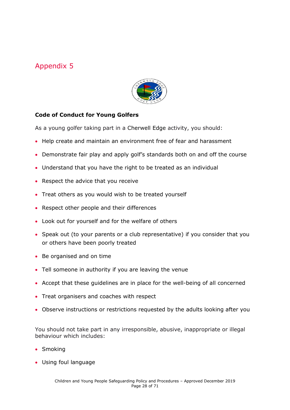

### <span id="page-27-0"></span>**Code of Conduct for Young Golfers**

As a young golfer taking part in a Cherwell Edge activity, you should:

- Help create and maintain an environment free of fear and harassment
- Demonstrate fair play and apply golf's standards both on and off the course
- Understand that you have the right to be treated as an individual
- Respect the advice that you receive
- Treat others as you would wish to be treated yourself
- Respect other people and their differences
- Look out for yourself and for the welfare of others
- Speak out (to your parents or a club representative) if you consider that you or others have been poorly treated
- Be organised and on time
- Tell someone in authority if you are leaving the venue
- Accept that these guidelines are in place for the well-being of all concerned
- Treat organisers and coaches with respect
- Observe instructions or restrictions requested by the adults looking after you

You should not take part in any irresponsible, abusive, inappropriate or illegal behaviour which includes:

- Smoking
- Using foul language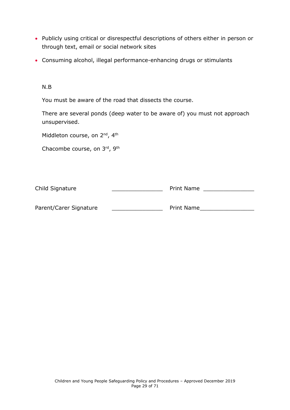- Publicly using critical or disrespectful descriptions of others either in person or through text, email or social network sites
- Consuming alcohol, illegal performance-enhancing drugs or stimulants

N.B

You must be aware of the road that dissects the course.

There are several ponds (deep water to be aware of) you must not approach unsupervised.

Middleton course, on 2<sup>nd</sup>, 4<sup>th</sup>

Chacombe course, on 3rd, 9th

<span id="page-28-0"></span>

| Child Signature        | <b>Print Name</b> |  |
|------------------------|-------------------|--|
| Parent/Carer Signature | <b>Print Name</b> |  |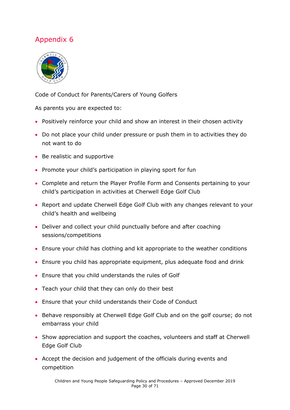

Code of Conduct for Parents/Carers of Young Golfers

As parents you are expected to:

- Positively reinforce your child and show an interest in their chosen activity
- Do not place your child under pressure or push them in to activities they do not want to do
- Be realistic and supportive
- Promote your child's participation in playing sport for fun
- Complete and return the Player Profile Form and Consents pertaining to your child's participation in activities at Cherwell Edge Golf Club
- Report and update Cherwell Edge Golf Club with any changes relevant to your child's health and wellbeing
- Deliver and collect your child punctually before and after coaching sessions/competitions
- Ensure your child has clothing and kit appropriate to the weather conditions
- Ensure you child has appropriate equipment, plus adequate food and drink
- Ensure that you child understands the rules of Golf
- Teach your child that they can only do their best
- Ensure that your child understands their Code of Conduct
- Behave responsibly at Cherwell Edge Golf Club and on the golf course; do not embarrass your child
- Show appreciation and support the coaches, volunteers and staff at Cherwell Edge Golf Club
- Accept the decision and judgement of the officials during events and competition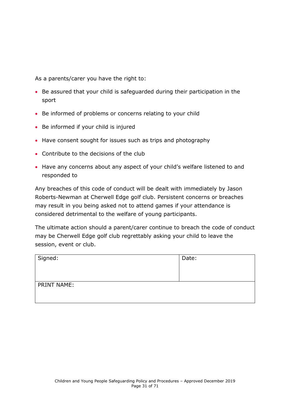As a parents/carer you have the right to:

- Be assured that your child is safeguarded during their participation in the sport
- Be informed of problems or concerns relating to your child
- Be informed if your child is injured
- Have consent sought for issues such as trips and photography
- Contribute to the decisions of the club
- Have any concerns about any aspect of your child's welfare listened to and responded to

Any breaches of this code of conduct will be dealt with immediately by Jason Roberts-Newman at Cherwell Edge golf club. Persistent concerns or breaches may result in you being asked not to attend games if your attendance is considered detrimental to the welfare of young participants.

The ultimate action should a parent/carer continue to breach the code of conduct may be Cherwell Edge golf club regrettably asking your child to leave the session, event or club.

| Signed:            | Date: |
|--------------------|-------|
| <b>PRINT NAME:</b> |       |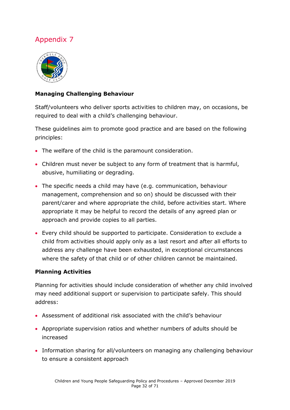

### **Managing Challenging Behaviour**

Staff/volunteers who deliver sports activities to children may, on occasions, be required to deal with a child's challenging behaviour.

These guidelines aim to promote good practice and are based on the following principles:

- The welfare of the child is the paramount consideration.
- Children must never be subject to any form of treatment that is harmful, abusive, humiliating or degrading.
- The specific needs a child may have (e.g. communication, behaviour management, comprehension and so on) should be discussed with their parent/carer and where appropriate the child, before activities start. Where appropriate it may be helpful to record the details of any agreed plan or approach and provide copies to all parties.
- Every child should be supported to participate. Consideration to exclude a child from activities should apply only as a last resort and after all efforts to address any challenge have been exhausted, in exceptional circumstances where the safety of that child or of other children cannot be maintained.

### **Planning Activities**

Planning for activities should include consideration of whether any child involved may need additional support or supervision to participate safely. This should address:

- Assessment of additional risk associated with the child's behaviour
- Appropriate supervision ratios and whether numbers of adults should be increased
- Information sharing for all/volunteers on managing any challenging behaviour to ensure a consistent approach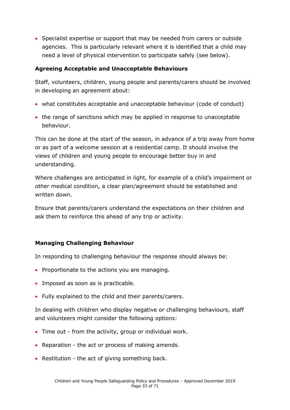• Specialist expertise or support that may be needed from carers or outside agencies. This is particularly relevant where it is identified that a child may need a level of physical intervention to participate safely (see below).

### **Agreeing Acceptable and Unacceptable Behaviours**

Staff, volunteers, children, young people and parents/carers should be involved in developing an agreement about:

- what constitutes acceptable and unacceptable behaviour (code of conduct)
- the range of sanctions which may be applied in response to unacceptable behaviour.

This can be done at the start of the season, in advance of a trip away from home or as part of a welcome session at a residential camp. It should involve the views of children and young people to encourage better buy in and understanding.

Where challenges are anticipated in light, for example of a child's impairment or other medical condition, a clear plan/agreement should be established and written down.

Ensure that parents/carers understand the expectations on their children and ask them to reinforce this ahead of any trip or activity.

### **Managing Challenging Behaviour**

In responding to challenging behaviour the response should always be:

- Proportionate to the actions you are managing.
- Imposed as soon as is practicable.
- Fully explained to the child and their parents/carers.

In dealing with children who display negative or challenging behaviours, staff and volunteers might consider the following options:

- Time out from the activity, group or individual work.
- Reparation the act or process of making amends.
- Restitution the act of giving something back.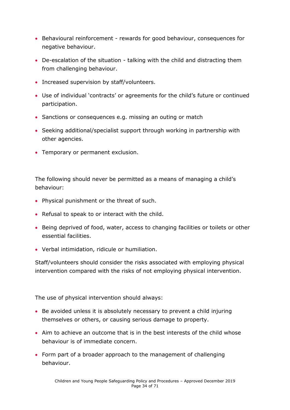- Behavioural reinforcement rewards for good behaviour, consequences for negative behaviour.
- De-escalation of the situation talking with the child and distracting them from challenging behaviour.
- Increased supervision by staff/volunteers.
- Use of individual 'contracts' or agreements for the child's future or continued participation.
- Sanctions or consequences e.g. missing an outing or match
- Seeking additional/specialist support through working in partnership with other agencies.
- Temporary or permanent exclusion.

The following should never be permitted as a means of managing a child's behaviour:

- Physical punishment or the threat of such.
- Refusal to speak to or interact with the child.
- Being deprived of food, water, access to changing facilities or toilets or other essential facilities.
- Verbal intimidation, ridicule or humiliation.

Staff/volunteers should consider the risks associated with employing physical intervention compared with the risks of not employing physical intervention.

The use of physical intervention should always:

- Be avoided unless it is absolutely necessary to prevent a child injuring themselves or others, or causing serious damage to property.
- Aim to achieve an outcome that is in the best interests of the child whose behaviour is of immediate concern.
- Form part of a broader approach to the management of challenging behaviour.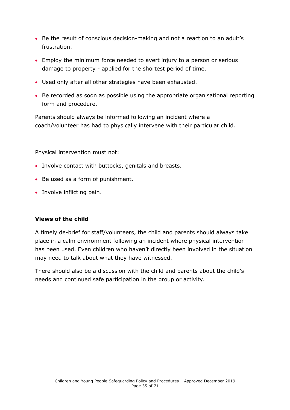- Be the result of conscious decision-making and not a reaction to an adult's frustration.
- Employ the minimum force needed to avert injury to a person or serious damage to property - applied for the shortest period of time.
- Used only after all other strategies have been exhausted.
- Be recorded as soon as possible using the appropriate organisational reporting form and procedure.

Parents should always be informed following an incident where a coach/volunteer has had to physically intervene with their particular child.

Physical intervention must not:

- Involve contact with buttocks, genitals and breasts.
- Be used as a form of punishment.
- Involve inflicting pain.

#### **Views of the child**

A timely de-brief for staff/volunteers, the child and parents should always take place in a calm environment following an incident where physical intervention has been used. Even children who haven't directly been involved in the situation may need to talk about what they have witnessed.

There should also be a discussion with the child and parents about the child's needs and continued safe participation in the group or activity.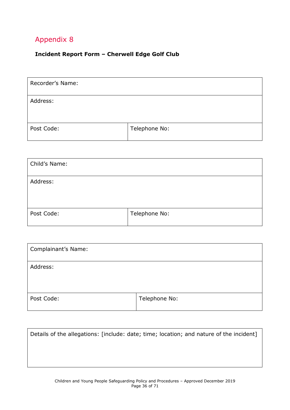### <span id="page-35-0"></span>**Incident Report Form – Cherwell Edge Golf Club**

| Recorder's Name: |               |
|------------------|---------------|
| Address:         |               |
| Post Code:       | Telephone No: |

| Child's Name: |               |
|---------------|---------------|
| Address:      |               |
| Post Code:    | Telephone No: |

| Complainant's Name: |               |
|---------------------|---------------|
| Address:            |               |
| Post Code:          | Telephone No: |

| Details of the allegations: [include: date; time; location; and nature of the incident] |
|-----------------------------------------------------------------------------------------|
|                                                                                         |
|                                                                                         |
|                                                                                         |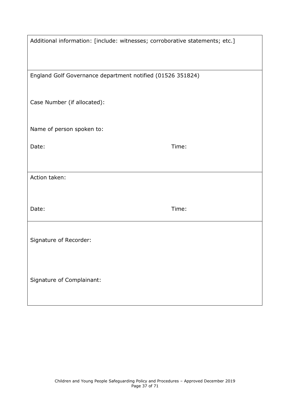| Additional information: [include: witnesses; corroborative statements; etc.] |       |
|------------------------------------------------------------------------------|-------|
| England Golf Governance department notified (01526 351824)                   |       |
|                                                                              |       |
| Case Number (if allocated):                                                  |       |
| Name of person spoken to:                                                    |       |
| Date:                                                                        | Time: |
|                                                                              |       |
| Action taken:                                                                |       |
|                                                                              |       |
| Date:                                                                        | Time: |
|                                                                              |       |
| Signature of Recorder:                                                       |       |
|                                                                              |       |
|                                                                              |       |
| Signature of Complainant:                                                    |       |
|                                                                              |       |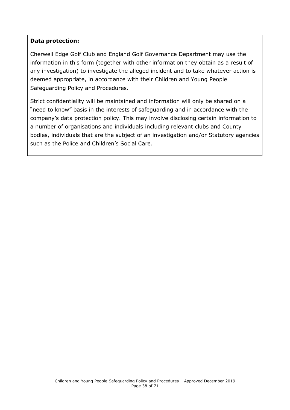#### **Data protection:**

Cherwell Edge Golf Club and England Golf Governance Department may use the information in this form (together with other information they obtain as a result of any investigation) to investigate the alleged incident and to take whatever action is deemed appropriate, in accordance with their Children and Young People Safeguarding Policy and Procedures.

<span id="page-37-0"></span>Strict confidentiality will be maintained and information will only be shared on a "need to know" basis in the interests of safeguarding and in accordance with the company's data protection policy. This may involve disclosing certain information to a number of organisations and individuals including relevant clubs and County bodies, individuals that are the subject of an investigation and/or Statutory agencies such as the Police and Children's Social Care.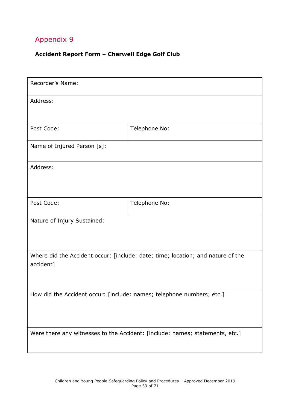### **Accident Report Form – Cherwell Edge Golf Club**

| Recorder's Name:                                                                             |               |  |  |
|----------------------------------------------------------------------------------------------|---------------|--|--|
| Address:                                                                                     |               |  |  |
| Post Code:                                                                                   | Telephone No: |  |  |
| Name of Injured Person [s]:                                                                  |               |  |  |
| Address:                                                                                     |               |  |  |
| Post Code:                                                                                   | Telephone No: |  |  |
| Nature of Injury Sustained:                                                                  |               |  |  |
| Where did the Accident occur: [include: date; time; location; and nature of the<br>accident] |               |  |  |
| How did the Accident occur: [include: names; telephone numbers; etc.]                        |               |  |  |
| Were there any witnesses to the Accident: [include: names; statements, etc.]                 |               |  |  |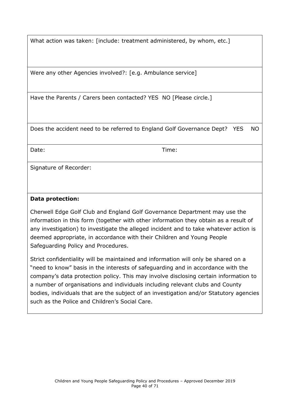What action was taken: [include: treatment administered, by whom, etc.]

Were any other Agencies involved?: [e.g. Ambulance service]

Have the Parents / Carers been contacted? YES NO [Please circle.]

Does the accident need to be referred to England Golf Governance Dept? YES NO

Date: Time:

Signature of Recorder:

#### **Data protection:**

Cherwell Edge Golf Club and England Golf Governance Department may use the information in this form (together with other information they obtain as a result of any investigation) to investigate the alleged incident and to take whatever action is deemed appropriate, in accordance with their Children and Young People Safeguarding Policy and Procedures.

Strict confidentiality will be maintained and information will only be shared on a "need to know" basis in the interests of safeguarding and in accordance with the company's data protection policy. This may involve disclosing certain information to a number of organisations and individuals including relevant clubs and County bodies, individuals that are the subject of an investigation and/or Statutory agencies such as the Police and Children's Social Care.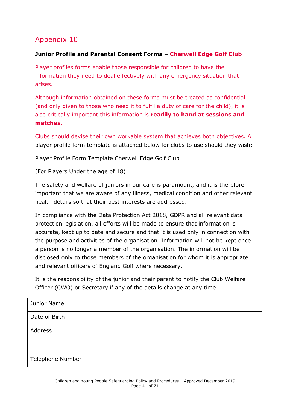### <span id="page-40-0"></span>**Junior Profile and Parental Consent Forms – Cherwell Edge Golf Club**

Player profiles forms enable those responsible for children to have the information they need to deal effectively with any emergency situation that arises.

Although information obtained on these forms must be treated as confidential (and only given to those who need it to fulfil a duty of care for the child), it is also critically important this information is **readily to hand at sessions and matches.**

Clubs should devise their own workable system that achieves both objectives. A player profile form template is attached below for clubs to use should they wish:

Player Profile Form Template Cherwell Edge Golf Club

(For Players Under the age of 18)

The safety and welfare of juniors in our care is paramount, and it is therefore important that we are aware of any illness, medical condition and other relevant health details so that their best interests are addressed.

In compliance with the Data Protection Act 2018, GDPR and all relevant data protection legislation, all efforts will be made to ensure that information is accurate, kept up to date and secure and that it is used only in connection with the purpose and activities of the organisation. Information will not be kept once a person is no longer a member of the organisation. The information will be disclosed only to those members of the organisation for whom it is appropriate and relevant officers of England Golf where necessary.

It is the responsibility of the junior and their parent to notify the Club Welfare Officer (CWO) or Secretary if any of the details change at any time.

| Junior Name             |  |
|-------------------------|--|
| Date of Birth           |  |
| Address                 |  |
| <b>Telephone Number</b> |  |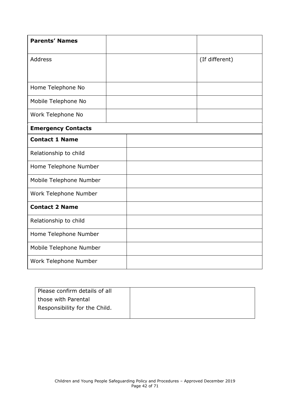| <b>Parents' Names</b>     |  |                |
|---------------------------|--|----------------|
| <b>Address</b>            |  | (If different) |
|                           |  |                |
| Home Telephone No         |  |                |
| Mobile Telephone No       |  |                |
| Work Telephone No         |  |                |
| <b>Emergency Contacts</b> |  |                |
| <b>Contact 1 Name</b>     |  |                |
| Relationship to child     |  |                |
| Home Telephone Number     |  |                |
| Mobile Telephone Number   |  |                |
| Work Telephone Number     |  |                |
| <b>Contact 2 Name</b>     |  |                |
| Relationship to child     |  |                |
| Home Telephone Number     |  |                |
| Mobile Telephone Number   |  |                |
| Work Telephone Number     |  |                |

| Please confirm details of all |  |
|-------------------------------|--|
| those with Parental           |  |
| Responsibility for the Child. |  |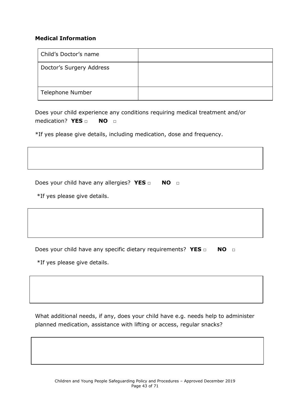#### **Medical Information**

| Child's Doctor's name    |  |
|--------------------------|--|
| Doctor's Surgery Address |  |
| Telephone Number         |  |

Does your child experience any conditions requiring medical treatment and/or medication? **YES** □ **NO** □

\*If yes please give details, including medication, dose and frequency.

Does your child have any allergies? YES □ NO □

\*If yes please give details.

Does your child have any specific dietary requirements? YES □ NO □

\*If yes please give details.

What additional needs, if any, does your child have e.g. needs help to administer planned medication, assistance with lifting or access, regular snacks?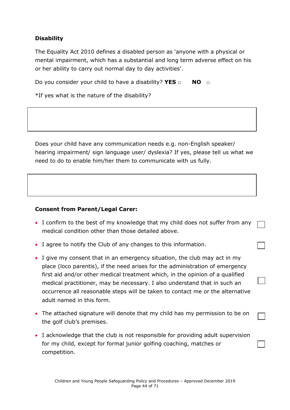### **Disability**

The Equality Act 2010 defines a disabled person as 'anyone with a physical or mental impairment, which has a substantial and long term adverse effect on his or her ability to carry out normal day to day activities'.

Do you consider your child to have a disability? **YES** □ **NO** □

\*If yes what is the nature of the disability?

Does your child have any communication needs e.g. non-English speaker/ hearing impairment/ sign language user/ dyslexia? If yes, please tell us what we need to do to enable him/her them to communicate with us fully.

### **Consent from Parent/Legal Carer:**

- I confirm to the best of my knowledge that my child does not suffer from any medical condition other than those detailed above.
- I agree to notify the Club of any changes to this information.
- I give my consent that in an emergency situation, the club may act in my place (loco parentis), if the need arises for the administration of emergency first aid and/or other medical treatment which, in the opinion of a qualified medical practitioner, may be necessary. I also understand that in such an occurrence all reasonable steps will be taken to contact me or the alternative adult named in this form.
- The attached signature will denote that my child has my permission to be on the golf club's premises.
- I acknowledge that the club is not responsible for providing adult supervision for my child, except for formal junior golfing coaching, matches or competition.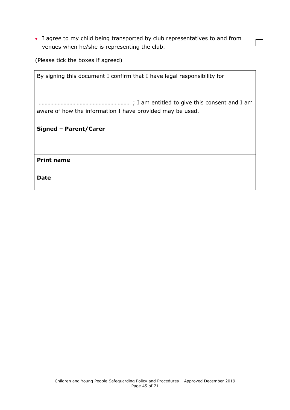I agree to my child being transported by club representatives to and from venues when he/she is representing the club.

 $\overline{\phantom{0}}$ 

(Please tick the boxes if agreed)

| By signing this document I confirm that I have legal responsibility for |  |  |
|-------------------------------------------------------------------------|--|--|
| aware of how the information I have provided may be used.               |  |  |
| Signed - Parent/Carer                                                   |  |  |
|                                                                         |  |  |
| <b>Print name</b>                                                       |  |  |
| Date                                                                    |  |  |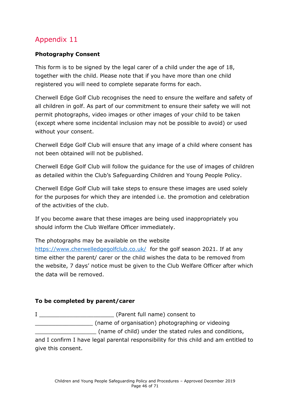### <span id="page-45-0"></span>**Photography Consent**

This form is to be signed by the legal carer of a child under the age of 18, together with the child. Please note that if you have more than one child registered you will need to complete separate forms for each.

Cherwell Edge Golf Club recognises the need to ensure the welfare and safety of all children in golf. As part of our commitment to ensure their safety we will not permit photographs, video images or other images of your child to be taken (except where some incidental inclusion may not be possible to avoid) or used without your consent.

Cherwell Edge Golf Club will ensure that any image of a child where consent has not been obtained will not be published.

Cherwell Edge Golf Club will follow the guidance for the use of images of children as detailed within the Club's Safeguarding Children and Young People Policy.

Cherwell Edge Golf Club will take steps to ensure these images are used solely for the purposes for which they are intended i.e. the promotion and celebration of the activities of the club.

If you become aware that these images are being used inappropriately you should inform the Club Welfare Officer immediately.

The photographs may be available on the website

<https://www.cherwelledgegolfclub.co.uk/> for the golf season 2021. If at any time either the parent/ carer or the child wishes the data to be removed from the website, 7 days' notice must be given to the Club Welfare Officer after which the data will be removed.

### **To be completed by parent/carer**

I \_\_\_\_\_\_\_\_\_\_\_\_\_\_\_\_\_\_\_\_\_\_ (Parent full name) consent to \_\_\_\_\_\_\_\_\_\_\_\_\_\_\_\_\_ (name of organisation) photographing or videoing

\_\_\_\_\_\_\_\_\_\_\_\_\_\_\_\_\_\_ (name of child) under the stated rules and conditions, and I confirm I have legal parental responsibility for this child and am entitled to give this consent.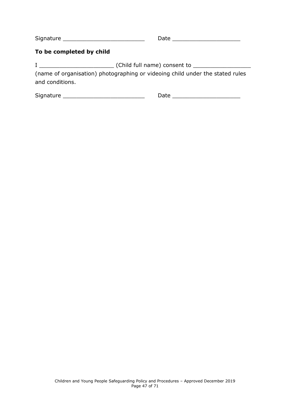Signature \_\_\_\_\_\_\_\_\_\_\_\_\_\_\_\_\_\_\_\_\_\_\_\_ Date \_\_\_\_\_\_\_\_\_\_\_\_\_\_\_\_\_\_\_\_

#### **To be completed by child**

I \_\_\_\_\_\_\_\_\_\_\_\_\_\_\_\_\_\_\_\_\_\_ (Child full name) consent to \_\_\_\_\_\_\_\_\_\_\_\_\_\_\_\_\_

(name of organisation) photographing or videoing child under the stated rules and conditions.

<span id="page-46-0"></span>Signature \_\_\_\_\_\_\_\_\_\_\_\_\_\_\_\_\_\_\_\_\_\_\_\_ Date \_\_\_\_\_\_\_\_\_\_\_\_\_\_\_\_\_\_\_\_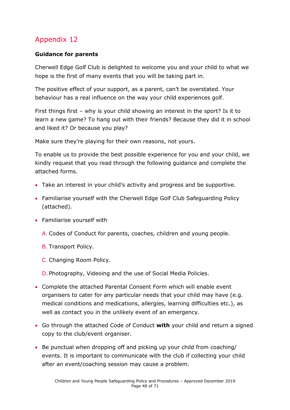### **Guidance for parents**

Cherwell Edge Golf Club is delighted to welcome you and your child to what we hope is the first of many events that you will be taking part in.

The positive effect of your support, as a parent, can't be overstated. Your behaviour has a real influence on the way your child experiences golf.

First things first – why is your child showing an interest in the sport? Is it to learn a new game? To hang out with their friends? Because they did it in school and liked it? Or because you play?

Make sure they're playing for their own reasons, not yours.

To enable us to provide the best possible experience for you and your child, we kindly request that you read through the following guidance and complete the attached forms.

- Take an interest in your child's activity and progress and be supportive.
- Familiarise yourself with the Cherwell Edge Golf Club Safeguarding Policy (attached).
- Familiarise yourself with
	- A. Codes of Conduct for parents, coaches, children and young people.
	- B. Transport Policy.
	- C. Changing Room Policy.
	- D. Photography, Videoing and the use of Social Media Policies.
- Complete the attached Parental Consent Form which will enable event organisers to cater for any particular needs that your child may have (e.g. medical conditions and medications, allergies, learning difficulties etc.), as well as contact you in the unlikely event of an emergency.
- Go through the attached Code of Conduct **with** your child and return a signed copy to the club/event organiser.
- Be punctual when dropping off and picking up your child from coaching/ events. It is important to communicate with the club if collecting your child after an event/coaching session may cause a problem.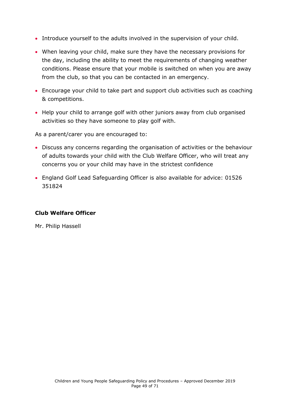- Introduce yourself to the adults involved in the supervision of your child.
- When leaving your child, make sure they have the necessary provisions for the day, including the ability to meet the requirements of changing weather conditions. Please ensure that your mobile is switched on when you are away from the club, so that you can be contacted in an emergency.
- Encourage your child to take part and support club activities such as coaching & competitions.
- Help your child to arrange golf with other juniors away from club organised activities so they have someone to play golf with.

As a parent/carer you are encouraged to:

- Discuss any concerns regarding the organisation of activities or the behaviour of adults towards your child with the Club Welfare Officer, who will treat any concerns you or your child may have in the strictest confidence
- England Golf Lead Safeguarding Officer is also available for advice: 01526 351824

#### **Club Welfare Officer**

<span id="page-48-0"></span>Mr. Philip Hassell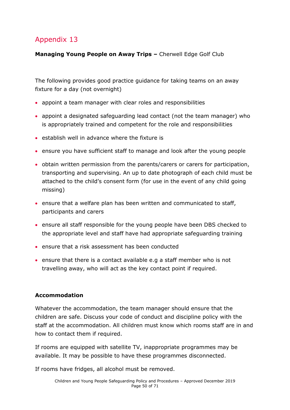**Managing Young People on Away Trips –** Cherwell Edge Golf Club

The following provides good practice guidance for taking teams on an away fixture for a day (not overnight)

- appoint a team manager with clear roles and responsibilities
- appoint a designated safeguarding lead contact (not the team manager) who is appropriately trained and competent for the role and responsibilities
- $\bullet$  establish well in advance where the fixture is
- ensure you have sufficient staff to manage and look after the young people
- obtain written permission from the parents/carers or carers for participation, transporting and supervising. An up to date photograph of each child must be attached to the child's consent form (for use in the event of any child going missing)
- ensure that a welfare plan has been written and communicated to staff, participants and carers
- ensure all staff responsible for the young people have been DBS checked to the appropriate level and staff have had appropriate safeguarding training
- ensure that a risk assessment has been conducted
- ensure that there is a contact available e.g a staff member who is not travelling away, who will act as the key contact point if required.

### **Accommodation**

Whatever the accommodation, the team manager should ensure that the children are safe. Discuss your code of conduct and discipline policy with the staff at the accommodation. All children must know which rooms staff are in and how to contact them if required.

If rooms are equipped with satellite TV, inappropriate programmes may be available. It may be possible to have these programmes disconnected.

If rooms have fridges, all alcohol must be removed.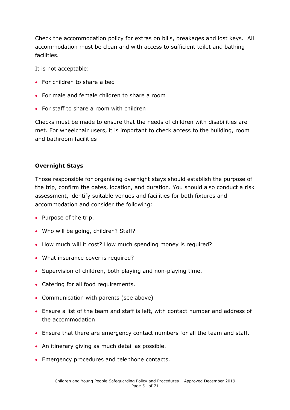Check the accommodation policy for extras on bills, breakages and lost keys. All accommodation must be clean and with access to sufficient toilet and bathing facilities.

It is not acceptable:

- For children to share a bed
- For male and female children to share a room
- For staff to share a room with children

Checks must be made to ensure that the needs of children with disabilities are met. For wheelchair users, it is important to check access to the building, room and bathroom facilities

#### **Overnight Stays**

Those responsible for organising overnight stays should establish the purpose of the trip, confirm the dates, location, and duration. You should also conduct a risk assessment, identify suitable venues and facilities for both fixtures and accommodation and consider the following:

- Purpose of the trip.
- Who will be going, children? Staff?
- How much will it cost? How much spending money is required?
- What insurance cover is required?
- Supervision of children, both playing and non-playing time.
- Catering for all food requirements.
- Communication with parents (see above)
- Ensure a list of the team and staff is left, with contact number and address of the accommodation
- Ensure that there are emergency contact numbers for all the team and staff.
- An itinerary giving as much detail as possible.
- Emergency procedures and telephone contacts.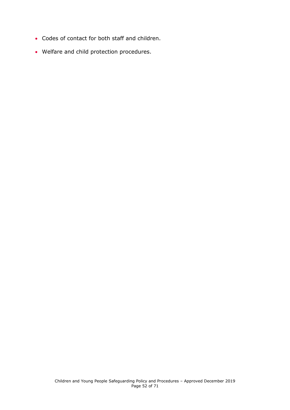- Codes of contact for both staff and children.
- <span id="page-51-0"></span>Welfare and child protection procedures.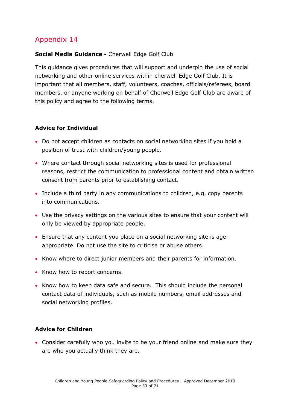### **Social Media Guidance -** Cherwell Edge Golf Club

This guidance gives procedures that will support and underpin the use of social networking and other online services within cherwell Edge Golf Club. It is important that all members, staff, volunteers, coaches, officials/referees, board members, or anyone working on behalf of Cherwell Edge Golf Club are aware of this policy and agree to the following terms.

### **Advice for Individual**

- Do not accept children as contacts on social networking sites if you hold a position of trust with children/young people.
- Where contact through social networking sites is used for professional reasons, restrict the communication to professional content and obtain written consent from parents prior to establishing contact.
- Include a third party in any communications to children, e.g. copy parents into communications.
- Use the privacy settings on the various sites to ensure that your content will only be viewed by appropriate people.
- Ensure that any content you place on a social networking site is ageappropriate. Do not use the site to criticise or abuse others.
- Know where to direct junior members and their parents for information.
- Know how to report concerns.
- Know how to keep data safe and secure. This should include the personal contact data of individuals, such as mobile numbers, email addresses and social networking profiles.

### **Advice for Children**

 Consider carefully who you invite to be your friend online and make sure they are who you actually think they are.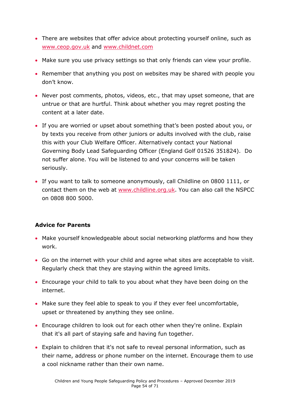- There are websites that offer advice about protecting yourself online, such as [www.ceop.gov.uk](http://www.ceop.gov.uk/) and [www.childnet.com](http://www.childnet.com/)
- Make sure you use privacy settings so that only friends can view your profile.
- Remember that anything you post on websites may be shared with people you don't know.
- Never post comments, photos, videos, etc., that may upset someone, that are untrue or that are hurtful. Think about whether you may regret posting the content at a later date.
- If you are worried or upset about something that's been posted about you, or by texts you receive from other juniors or adults involved with the club, raise this with your Club Welfare Officer. Alternatively contact your National Governing Body Lead Safeguarding Officer (England Golf 01526 351824). Do not suffer alone. You will be listened to and your concerns will be taken seriously.
- If you want to talk to someone anonymously, call Childline on 0800 1111, or contact them on the web at [www.childline.org.uk.](http://www.childline.org.uk/) You can also call the NSPCC on 0808 800 5000.

### **Advice for Parents**

- Make yourself knowledgeable about social networking platforms and how they work.
- Go on the internet with your child and agree what sites are acceptable to visit. Regularly check that they are staying within the agreed limits.
- Encourage your child to talk to you about what they have been doing on the internet.
- Make sure they feel able to speak to you if they ever feel uncomfortable, upset or threatened by anything they see online.
- Encourage children to look out for each other when they're online. Explain that it's all part of staying safe and having fun together.
- Explain to children that it's not safe to reveal personal information, such as their name, address or phone number on the internet. Encourage them to use a cool nickname rather than their own name.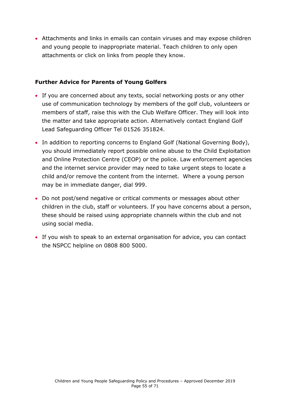Attachments and links in emails can contain viruses and may expose children and young people to inappropriate material. Teach children to only open attachments or click on links from people they know.

#### **Further Advice for Parents of Young Golfers**

- If you are concerned about any texts, social networking posts or any other use of communication technology by members of the golf club, volunteers or members of staff, raise this with the Club Welfare Officer. They will look into the matter and take appropriate action. Alternatively contact England Golf Lead Safeguarding Officer Tel 01526 351824.
- In addition to reporting concerns to England Golf (National Governing Body), you should immediately report possible online abuse to the Child Exploitation and Online Protection Centre (CEOP) or the police. Law enforcement agencies and the internet service provider may need to take urgent steps to locate a child and/or remove the content from the internet. Where a young person may be in immediate danger, dial 999.
- Do not post/send negative or critical comments or messages about other children in the club, staff or volunteers. If you have concerns about a person, these should be raised using appropriate channels within the club and not using social media.
- <span id="page-54-0"></span> If you wish to speak to an external organisation for advice, you can contact the NSPCC helpline on 0808 800 5000.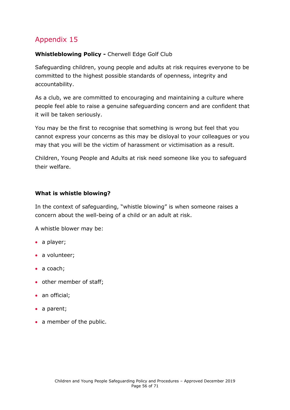### **Whistleblowing Policy -** Cherwell Edge Golf Club

Safeguarding children, young people and adults at risk requires everyone to be committed to the highest possible standards of openness, integrity and accountability.

As a club, we are committed to encouraging and maintaining a culture where people feel able to raise a genuine safeguarding concern and are confident that it will be taken seriously.

You may be the first to recognise that something is wrong but feel that you cannot express your concerns as this may be disloyal to your colleagues or you may that you will be the victim of harassment or victimisation as a result.

Children, Young People and Adults at risk need someone like you to safeguard their welfare.

### **What is whistle blowing?**

In the context of safeguarding, "whistle blowing" is when someone raises a concern about the well-being of a child or an adult at risk.

A whistle blower may be:

- a player;
- a volunteer;
- a coach;
- other member of staff;
- an official;
- a parent;
- a member of the public.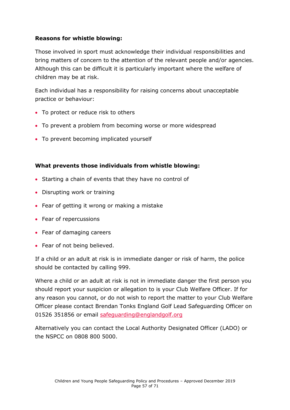### **Reasons for whistle blowing:**

Those involved in sport must acknowledge their individual responsibilities and bring matters of concern to the attention of the relevant people and/or agencies. Although this can be difficult it is particularly important where the welfare of children may be at risk.

Each individual has a responsibility for raising concerns about unacceptable practice or behaviour:

- To protect or reduce risk to others
- To prevent a problem from becoming worse or more widespread
- To prevent becoming implicated yourself

### **What prevents those individuals from whistle blowing:**

- Starting a chain of events that they have no control of
- Disrupting work or training
- Fear of getting it wrong or making a mistake
- Fear of repercussions
- Fear of damaging careers
- Fear of not being believed.

If a child or an adult at risk is in immediate danger or risk of harm, the police should be contacted by calling 999.

Where a child or an adult at risk is not in immediate danger the first person you should report your suspicion or allegation to is your Club Welfare Officer. If for any reason you cannot, or do not wish to report the matter to your Club Welfare Officer please contact Brendan Tonks England Golf Lead Safeguarding Officer on 01526 351856 or email [safeguarding@englandgolf.org](mailto:safeguarding@englandgolf.org)

Alternatively you can contact the Local Authority Designated Officer (LADO) or the NSPCC on 0808 800 5000.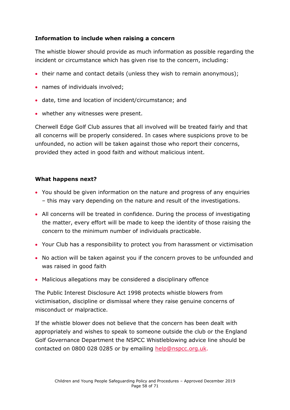### **Information to include when raising a concern**

The whistle blower should provide as much information as possible regarding the incident or circumstance which has given rise to the concern, including:

- their name and contact details (unless they wish to remain anonymous);
- names of individuals involved;
- date, time and location of incident/circumstance; and
- whether any witnesses were present.

Cherwell Edge Golf Club assures that all involved will be treated fairly and that all concerns will be properly considered. In cases where suspicions prove to be unfounded, no action will be taken against those who report their concerns, provided they acted in good faith and without malicious intent.

### **What happens next?**

- You should be given information on the nature and progress of any enquiries – this may vary depending on the nature and result of the investigations.
- All concerns will be treated in confidence. During the process of investigating the matter, every effort will be made to keep the identity of those raising the concern to the minimum number of individuals practicable.
- Your Club has a responsibility to protect you from harassment or victimisation
- No action will be taken against you if the concern proves to be unfounded and was raised in good faith
- Malicious allegations may be considered a disciplinary offence

The Public Interest Disclosure Act 1998 protects whistle blowers from victimisation, discipline or dismissal where they raise genuine concerns of misconduct or malpractice.

If the whistle blower does not believe that the concern has been dealt with appropriately and wishes to speak to someone outside the club or the England Golf Governance Department the NSPCC Whistleblowing advice line should be contacted on 0800 028 0285 or by emailing [help@nspcc.org.uk.](mailto:help@nspcc.org.uk)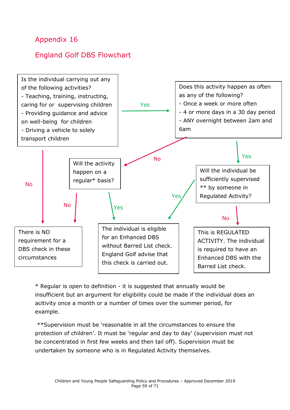### <span id="page-58-0"></span>England Golf DBS Flowchart



\* Regular is open to definition - it is suggested that annually would be insufficient but an argument for eligibility could be made if the individual does an acitivity once a month or a number of times over the summer period, for example.

\*\*Supervision must be 'reasonable in all the circumstances to ensure the protection of children'. It must be 'regular and day to day' (supervision must not be concentrated in first few weeks and then tail off). Supervision must be undertaken by someone who is in Regulated Activity themselves.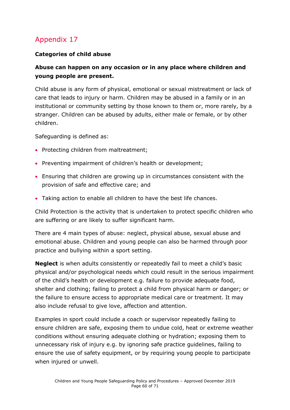### **Categories of child abuse**

### **Abuse can happen on any occasion or in any place where children and young people are present.**

Child abuse is any form of physical, emotional or sexual mistreatment or lack of care that leads to injury or harm. Children may be abused in a family or in an institutional or community setting by those known to them or, more rarely, by a stranger. Children can be abused by adults, either male or female, or by other children.

Safeguarding is defined as:

- Protecting children from maltreatment;
- Preventing impairment of children's health or development;
- Ensuring that children are growing up in circumstances consistent with the provision of safe and effective care; and
- Taking action to enable all children to have the best life chances.

Child Protection is the activity that is undertaken to protect specific children who are suffering or are likely to suffer significant harm.

There are 4 main types of abuse: neglect, physical abuse, sexual abuse and emotional abuse. Children and young people can also be harmed through poor practice and bullying within a sport setting.

**Neglect** is when adults consistently or repeatedly fail to meet a child's basic physical and/or psychological needs which could result in the serious impairment of the child's health or development e.g. failure to provide adequate food, shelter and clothing; failing to protect a child from physical harm or danger; or the failure to ensure access to appropriate medical care or treatment. It may also include refusal to give love, affection and attention.

Examples in sport could include a coach or supervisor repeatedly failing to ensure children are safe, exposing them to undue cold, heat or extreme weather conditions without ensuring adequate clothing or hydration; exposing them to unnecessary risk of injury e.g. by ignoring safe practice guidelines, failing to ensure the use of safety equipment, or by requiring young people to participate when injured or unwell.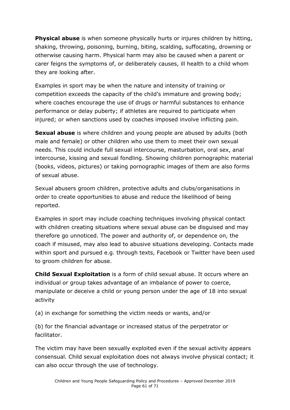**Physical abuse** is when someone physically hurts or injures children by hitting, shaking, throwing, poisoning, burning, biting, scalding, suffocating, drowning or otherwise causing harm. Physical harm may also be caused when a parent or carer feigns the symptoms of, or deliberately causes, ill health to a child whom they are looking after.

Examples in sport may be when the nature and intensity of training or competition exceeds the capacity of the child's immature and growing body; where coaches encourage the use of drugs or harmful substances to enhance performance or delay puberty; if athletes are required to participate when injured; or when sanctions used by coaches imposed involve inflicting pain.

**Sexual abuse** is where children and young people are abused by adults (both male and female) or other children who use them to meet their own sexual needs. This could include full sexual intercourse, masturbation, oral sex, anal intercourse, kissing and sexual fondling. Showing children pornographic material (books, videos, pictures) or taking pornographic images of them are also forms of sexual abuse.

Sexual abusers groom children, protective adults and clubs/organisations in order to create opportunities to abuse and reduce the likelihood of being reported.

Examples in sport may include coaching techniques involving physical contact with children creating situations where sexual abuse can be disguised and may therefore go unnoticed. The power and authority of, or dependence on, the coach if misused, may also lead to abusive situations developing. Contacts made within sport and pursued e.g. through texts, Facebook or Twitter have been used to groom children for abuse.

**Child Sexual Exploitation** is a form of child sexual abuse. It occurs where an individual or group takes advantage of an imbalance of power to coerce, manipulate or deceive a child or young person under the age of 18 into sexual activity

(a) in exchange for something the victim needs or wants, and/or

(b) for the financial advantage or increased status of the perpetrator or facilitator.

The victim may have been sexually exploited even if the sexual activity appears consensual. Child sexual exploitation does not always involve physical contact; it can also occur through the use of technology.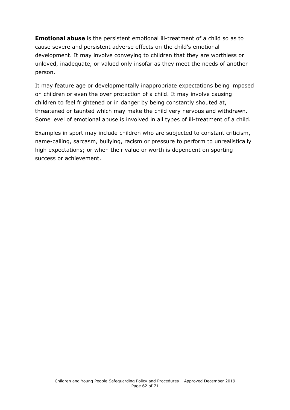**Emotional abuse** is the persistent emotional ill-treatment of a child so as to cause severe and persistent adverse effects on the child's emotional development. It may involve conveying to children that they are worthless or unloved, inadequate, or valued only insofar as they meet the needs of another person.

It may feature age or developmentally inappropriate expectations being imposed on children or even the over protection of a child. It may involve causing children to feel frightened or in danger by being constantly shouted at, threatened or taunted which may make the child very nervous and withdrawn. Some level of emotional abuse is involved in all types of ill-treatment of a child.

Examples in sport may include children who are subjected to constant criticism, name-calling, sarcasm, bullying, racism or pressure to perform to unrealistically high expectations; or when their value or worth is dependent on sporting success or achievement.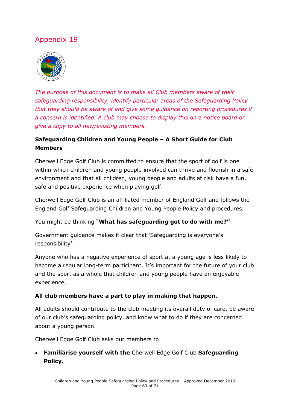<span id="page-62-0"></span>

*The purpose of this document is to make all Club members aware of their safeguarding responsibility, identify particular areas of the Safeguarding Policy that they should be aware of and give some guidance on reporting procedures if a concern is identified. A club may choose to display this on a notice board or give a copy to all new/existing members.* 

### **Safeguarding Children and Young People – A Short Guide for Club Members**

Cherwell Edge Golf Club is committed to ensure that the sport of golf is one within which children and young people involved can thrive and flourish in a safe environment and that all children, young people and adults at risk have a fun, safe and positive experience when playing golf.

Cherwell Edge Golf Club is an affiliated member of England Golf and follows the England Golf Safeguarding Children and Young People Policy and procedures.

You might be thinking "**What has safeguarding got to do with me?"**

Government guidance makes it clear that 'Safeguarding is everyone's responsibility'.

Anyone who has a negative experience of sport at a young age is less likely to become a regular long-term participant. It's important for the future of your club and the sport as a whole that children and young people have an enjoyable experience.

### **All club members have a part to play in making that happen.**

All adults should contribute to the club meeting its overall duty of care, be aware of our club's safeguarding policy, and know what to do if they are concerned about a young person.

Cherwell Edge Golf Club asks our members to

 **Familiarise yourself with the** Cherwell Edge Golf Club **Safeguarding Policy.**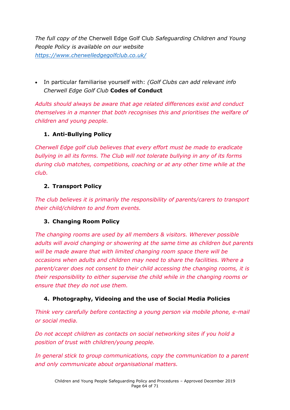*The full copy of the* Cherwell Edge Golf Club *Safeguarding Children and Young People Policy is available on our website <https://www.cherwelledgegolfclub.co.uk/>*

 In particular familiarise yourself with: *(Golf Clubs can add relevant info Cherwell Edge Golf Club* **Codes of Conduct** 

*Adults should always be aware that age related differences exist and conduct themselves in a manner that both recognises this and prioritises the welfare of children and young people.*

### **1. Anti-Bullying Policy**

*Cherwell Edge golf club believes that every effort must be made to eradicate bullying in all its forms. The Club will not tolerate bullying in any of its forms during club matches, competitions, coaching or at any other time while at the club.*

### **2. Transport Policy**

*The club believes it is primarily the responsibility of parents/carers to transport their child/children to and from events.*

### **3. Changing Room Policy**

*The changing rooms are used by all members & visitors. Wherever possible adults will avoid changing or showering at the same time as children but parents will be made aware that with limited changing room space there will be occasions when adults and children may need to share the facilities. Where a parent/carer does not consent to their child accessing the changing rooms, it is their responsibility to either supervise the child while in the changing rooms or ensure that they do not use them.* 

### **4. Photography, Videoing and the use of Social Media Policies**

*Think very carefully before contacting a young person via mobile phone, e-mail or social media.* 

*Do not accept children as contacts on social networking sites if you hold a position of trust with children/young people.*

*In general stick to group communications, copy the communication to a parent and only communicate about organisational matters.*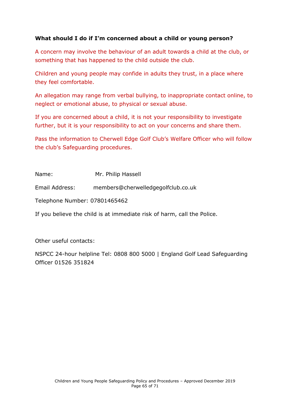### **What should I do if I'm concerned about a child or young person?**

A concern may involve the behaviour of an adult towards a child at the club, or something that has happened to the child outside the club.

Children and young people may confide in adults they trust, in a place where they feel comfortable.

An allegation may range from verbal bullying, to inappropriate contact online, to neglect or emotional abuse, to physical or sexual abuse.

If you are concerned about a child, it is not your responsibility to investigate further, but it is your responsibility to act on your concerns and share them.

Pass the information to Cherwell Edge Golf Club's Welfare Officer who will follow the club's Safeguarding procedures.

Name: Mr. Philip Hassell

Email Address: members@cherwelledgegolfclub.co.uk

Telephone Number: 07801465462

If you believe the child is at immediate risk of harm, call the Police.

Other useful contacts:

NSPCC 24-hour helpline Tel: 0808 800 5000 | England Golf Lead Safeguarding Officer 01526 351824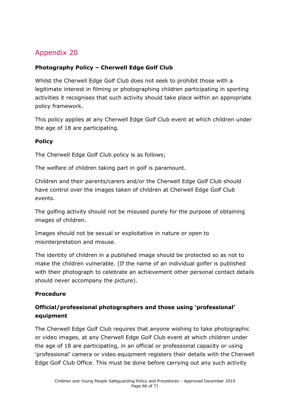### <span id="page-65-0"></span>**Photography Policy – Cherwell Edge Golf Club**

Whilst the Cherwell Edge Golf Club does not seek to prohibit those with a legitimate interest in filming or photographing children participating in sporting activities it recognises that such activity should take place within an appropriate policy framework.

This policy applies at any Cherwell Edge Golf Club event at which children under the age of 18 are participating.

### **Policy**

The Cherwell Edge Golf Club policy is as follows;

The welfare of children taking part in golf is paramount.

Children and their parents/carers and/or the Cherwell Edge Golf Club should have control over the images taken of children at Cherwell Edge Golf Club events.

The golfing activity should not be misused purely for the purpose of obtaining images of children.

Images should not be sexual or exploitative in nature or open to misinterpretation and misuse.

The identity of children in a published image should be protected so as not to make the children vulnerable. (If the name of an individual golfer is published with their photograph to celebrate an achievement other personal contact details should never accompany the picture).

### **Procedure**

### **Official/professional photographers and those using 'professional' equipment**

The Cherwell Edge Golf Club requires that anyone wishing to take photographic or video images, at any Cherwell Edge Golf Club event at which children under the age of 18 are participating, in an official or professional capacity or using 'professional' camera or video equipment registers their details with the Cherwell Edge Golf Club Office. This must be done before carrying out any such activity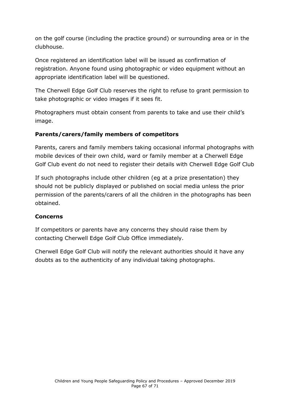on the golf course (including the practice ground) or surrounding area or in the clubhouse.

Once registered an identification label will be issued as confirmation of registration. Anyone found using photographic or video equipment without an appropriate identification label will be questioned.

The Cherwell Edge Golf Club reserves the right to refuse to grant permission to take photographic or video images if it sees fit.

Photographers must obtain consent from parents to take and use their child's image.

### **Parents/carers/family members of competitors**

Parents, carers and family members taking occasional informal photographs with mobile devices of their own child, ward or family member at a Cherwell Edge Golf Club event do not need to register their details with Cherwell Edge Golf Club

If such photographs include other children (eg at a prize presentation) they should not be publicly displayed or published on social media unless the prior permission of the parents/carers of all the children in the photographs has been obtained.

### **Concerns**

If competitors or parents have any concerns they should raise them by contacting Cherwell Edge Golf Club Office immediately.

Cherwell Edge Golf Club will notify the relevant authorities should it have any doubts as to the authenticity of any individual taking photographs.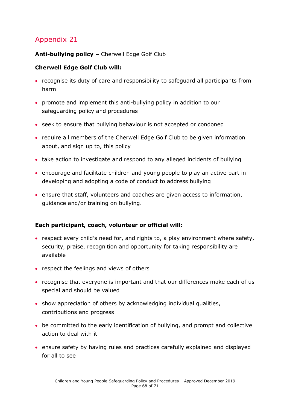### <span id="page-67-0"></span>**Anti-bullying policy –** Cherwell Edge Golf Club

### **Cherwell Edge Golf Club will:**

- recognise its duty of care and responsibility to safeguard all participants from harm
- promote and implement this anti-bullying policy in addition to our safeguarding policy and procedures
- seek to ensure that bullying behaviour is not accepted or condoned
- require all members of the Cherwell Edge Golf Club to be given information about, and sign up to, this policy
- take action to investigate and respond to any alleged incidents of bullying
- encourage and facilitate children and young people to play an active part in developing and adopting a code of conduct to address bullying
- ensure that staff, volunteers and coaches are given access to information, guidance and/or training on bullying.

### **Each participant, coach, volunteer or official will:**

- respect every child's need for, and rights to, a play environment where safety, security, praise, recognition and opportunity for taking responsibility are available
- respect the feelings and views of others
- recognise that everyone is important and that our differences make each of us special and should be valued
- show appreciation of others by acknowledging individual qualities, contributions and progress
- be committed to the early identification of bullying, and prompt and collective action to deal with it
- ensure safety by having rules and practices carefully explained and displayed for all to see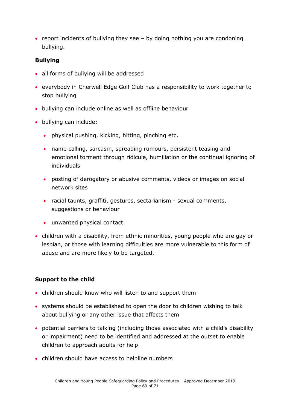• report incidents of bullying they see  $-$  by doing nothing you are condoning bullying.

### **Bullying**

- all forms of bullying will be addressed
- everybody in Cherwell Edge Golf Club has a responsibility to work together to stop bullying
- bullying can include online as well as offline behaviour
- bullying can include:
	- physical pushing, kicking, hitting, pinching etc.
	- name calling, sarcasm, spreading rumours, persistent teasing and emotional torment through ridicule, humiliation or the continual ignoring of individuals
	- posting of derogatory or abusive comments, videos or images on social network sites
	- racial taunts, graffiti, gestures, sectarianism sexual comments, suggestions or behaviour
	- unwanted physical contact
- children with a disability, from ethnic minorities, young people who are gay or lesbian, or those with learning difficulties are more vulnerable to this form of abuse and are more likely to be targeted.

### **Support to the child**

- children should know who will listen to and support them
- systems should be established to open the door to children wishing to talk about bullying or any other issue that affects them
- potential barriers to talking (including those associated with a child's disability or impairment) need to be identified and addressed at the outset to enable children to approach adults for help
- children should have access to helpline numbers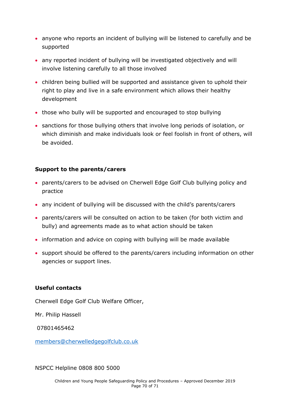- anyone who reports an incident of bullying will be listened to carefully and be supported
- any reported incident of bullying will be investigated objectively and will involve listening carefully to all those involved
- children being bullied will be supported and assistance given to uphold their right to play and live in a safe environment which allows their healthy development
- those who bully will be supported and encouraged to stop bullying
- sanctions for those bullying others that involve long periods of isolation, or which diminish and make individuals look or feel foolish in front of others, will be avoided.

#### **Support to the parents/carers**

- parents/carers to be advised on Cherwell Edge Golf Club bullying policy and practice
- any incident of bullying will be discussed with the child's parents/carers
- parents/carers will be consulted on action to be taken (for both victim and bully) and agreements made as to what action should be taken
- information and advice on coping with bullying will be made available
- support should be offered to the parents/carers including information on other agencies or support lines.

#### **Useful contacts**

Cherwell Edge Golf Club Welfare Officer,

Mr. Philip Hassell

07801465462

[members@cherwelledgegolfclub.co.uk](mailto:members@cherwelledgegolfclub.co.uk)

NSPCC Helpline 0808 800 5000